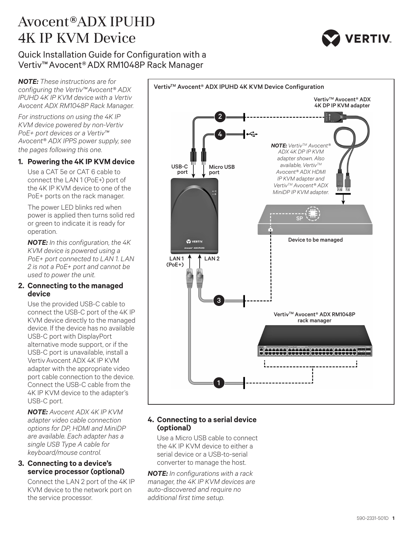## Avocent®ADX IPUHD 4K IP KVM Device



## Quick Installation Guide for Configuration with a Vertiv™ Avocent® ADX RM1048P Rack Manager

*NOTE: These instructions are for configuring the Vertiv™ Avocent® ADX IPUHD 4K IP KVM device with a Vertiv Avocent ADX RM1048P Rack Manager.* 

*For instructions on using the 4K IP KVM device powered by non-Vertiv PoE+ port devices or a Vertiv™ Avocent® ADX IPPS power supply, see the pages following this one.* 

### **1. Powering the 4K IP KVM device**

Use a CAT 5e or CAT 6 cable to connect the LAN 1 (PoE+) port of the 4K IP KVM device to one of the PoE+ ports on the rack manager.

The power LED blinks red when power is applied then turns solid red or green to indicate it is ready for operation.

*NOTE: In this configuration, the 4K KVM device is powered using a PoE+ port connected to LAN 1. LAN 2 is not a PoE+ port and cannot be used to power the unit.* 

#### **2. Connecting to the managed device**

Use the provided USB-C cable to connect the USB-C port of the 4K IP KVM device directly to the managed device. If the device has no available USB-C port with DisplayPort alternative mode support, or if the USB-C port is unavailable, install a VertivAvocent ADX 4K IP KVM adapter with the appropriate video port cable connection to the device. Connect the USB-C cable from the 4K IP KVM device to the adapter's USB-C port.

*NOTE: Avocent ADX 4K IP KVM adapter video cable connection options for DP, HDMI and MiniDP are available. Each adapter has a single USB Type A cable for keyboard/mouse control.*

#### **3. Connecting to a device's service processor (optional)**

Connect the LAN 2 port of the 4K IP KVM device to the network port on the service processor.



#### **4. Connecting to a serial device (optional)**

Use a Micro USB cable to connect the 4K IP KVM device to either a serial device or a USB-to-serial converter to manage the host.

*NOTE: In configurations with a rack manager, the 4K IP KVM devices are auto-discovered and require no additional first time setup.*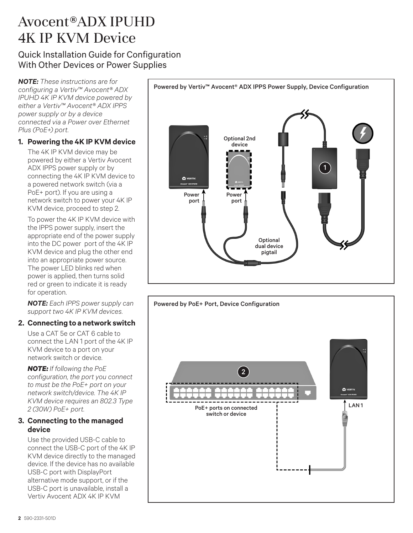# Avocent®ADX IPUHD 4K IP KVM Device

## Quick Installation Guide for Configuration With Other Devices or Power Supplies

*NOTE: These instructions are for configuring a Vertiv™ Avocent® ADX IPUHD 4K IP KVM device powered by either a Vertiv™ Avocent® ADX IPPS power supply or by a device connected via a Power over Ethernet Plus (PoE+) port.*

## **1. Powering the 4K IP KVM device**

The 4K IP KVM device may be powered by either a Vertiv Avocent ADX IPPS power supply or by connecting the 4K IP KVM device to a powered network switch (via a PoE+ port). If you are using a network switch to power your 4K IP KVM device, proceed to step 2.

To power the 4K IP KVM device with the IPPS power supply, insert the appropriate end of the power supply into the DC power port of the 4K IP KVM device and plug the other end into an appropriate power source. The power LED blinks red when power is applied, then turns solid red or green to indicate it is ready for operation.

*NOTE: Each IPPS power supply can support two 4K IP KVM devices.* 

## **2. Connecting to a network switch**

Use a CAT 5e or CAT 6 cable to connect the LAN 1 port of the 4K IP KVM device to a port on your network switch or device.

*NOTE: If following the PoE configuration, the port you connect to must be the PoE+ port on your network switch/device. The 4K IP KVM device requires an 802.3 Type 2 (30W) PoE+ port.*

## **3. Connecting to the managed device**

Use the provided USB-C cable to connect the USB-C port of the 4K IP KVM device directly to the managed device. If the device has no available USB-C port with DisplayPort alternative mode support, or if the USB-C port is unavailable, install a Vertiv Avocent ADX 4K IP KVM



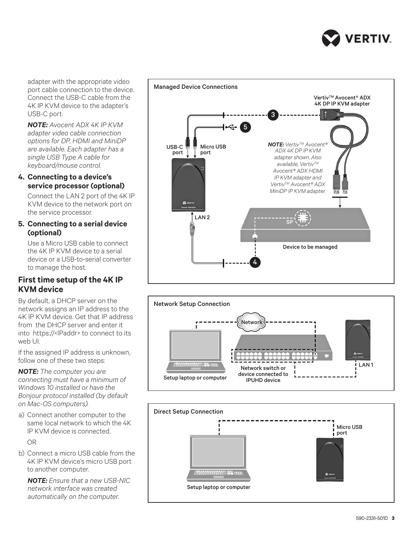

port cable connection to the device. Connect the USB-C cable from the 4K IP KVM device to the adapter's USB-C port.

*NOTE: Avocent ADX 4K IP KVM adapter video cable connection options for DP, HDMI and MiniDP are available. Each adapter has a single USB Type A cable for keyboard/mouse control.*

### **4. Connecting to a device's service processor (optional)**

Connect the LAN 2 port of the 4K IP KVM device to the network port on the service processor.

### **5. Connecting to a serial device (optional)**

Use a Micro USB cable to connect the 4K IP KVM device to a serial device or a USB-to-serial converter to manage the host.

## **First time setup of the 4K IP KVM device**

By default, a DHCP server on the network assigns an IP address to the 4K IP KVM device. Get that IP address from the DHCP server and enter it into https://<IPaddr> to connect to its web UI.

If the assigned IP address is unknown, follow one of these two steps:

*NOTE: The computer you are connecting must have a minimum of Windows 10 installed or have the Bonjour protocol installed (by default on Mac-OS computers).*

a) Connect another computer to the same local network to which the 4K IP KVM device is connected. OR

b) Connect a micro USB cable from the 4K IP KVM device's micro USB port to another computer.

*NOTE: Ensure that a new USB-NIC network interface was created automatically on the computer.*